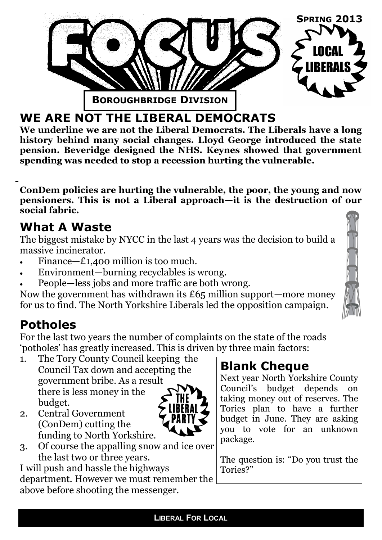

## **WE ARE NOT THE LIBERAL DEMOCRATS**

**We underline we are not the Liberal Democrats. The Liberals have a long history behind many social changes. Lloyd George introduced the state pension. Beveridge designed the NHS. Keynes showed that government spending was needed to stop a recession hurting the vulnerable.** 

**ConDem policies are hurting the vulnerable, the poor, the young and now pensioners. This is not a Liberal approach—it is the destruction of our social fabric.**

### **What A Waste**

The biggest mistake by NYCC in the last 4 years was the decision to build a massive incinerator.

- Finance— $\pounds$ 1,400 million is too much.
- Environment—burning recyclables is wrong.
- People—less jobs and more traffic are both wrong.

Now the government has withdrawn its £65 million support—more money for us to find. The North Yorkshire Liberals led the opposition campaign.

## **Potholes**

For the last two years the number of complaints on the state of the roads 'potholes' has greatly increased. This is driven by three main factors:

- 1. The Tory County Council keeping the Council Tax down and accepting the government bribe. As a result there is less money in the budget.
- 2. Central Government (ConDem) cutting the funding to North Yorkshire.



3. Of course the appalling snow and ice over the last two or three years.

I will push and hassle the highways department. However we must remember the above before shooting the messenger.

## **Blank Cheque**

Next year North Yorkshire County Council's budget depends on taking money out of reserves. The Tories plan to have a further budget in June. They are asking you to vote for an unknown package.

The question is: "Do you trust the Tories?"